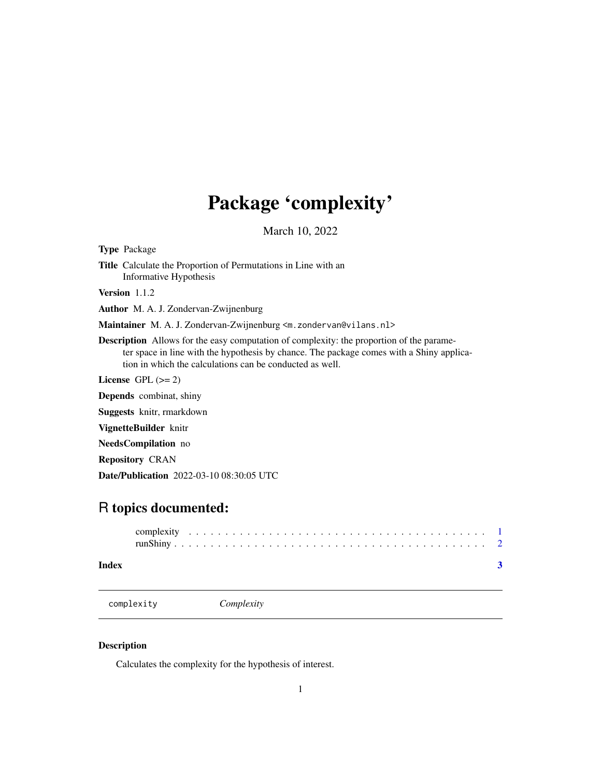## <span id="page-0-0"></span>Package 'complexity'

March 10, 2022

Type Package Title Calculate the Proportion of Permutations in Line with an Informative Hypothesis Version 1.1.2 Author M. A. J. Zondervan-Zwijnenburg Maintainer M. A. J. Zondervan-Zwijnenburg <m. zondervan@vilans.nl> Description Allows for the easy computation of complexity: the proportion of the parameter space in line with the hypothesis by chance. The package comes with a Shiny application in which the calculations can be conducted as well. License GPL  $(>= 2)$ Depends combinat, shiny

Suggests knitr, rmarkdown

VignetteBuilder knitr

NeedsCompilation no

Repository CRAN

Date/Publication 2022-03-10 08:30:05 UTC

### R topics documented:

| Index |  |  |  |  |  |  |  |  |  |  |  |  |  |  |  |  |  |  |  |  |
|-------|--|--|--|--|--|--|--|--|--|--|--|--|--|--|--|--|--|--|--|--|

complexity *Complexity*

#### Description

Calculates the complexity for the hypothesis of interest.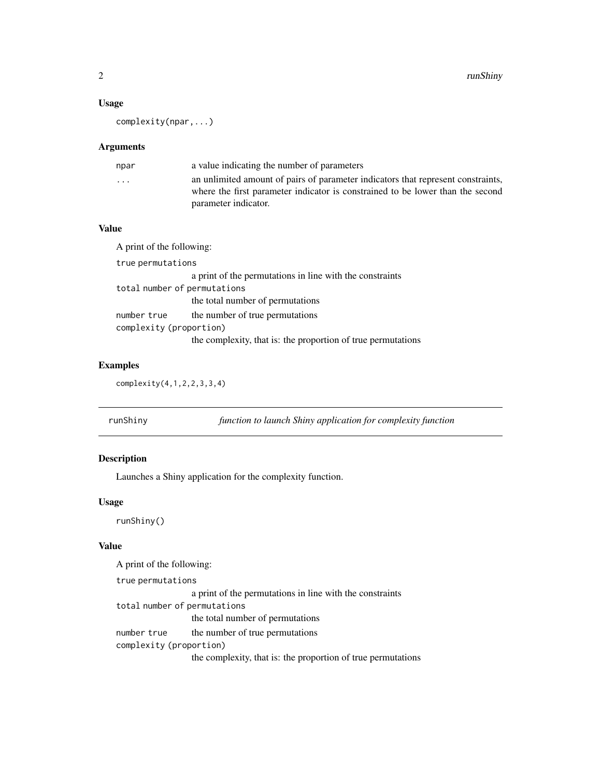#### <span id="page-1-0"></span>Usage

complexity(npar,...)

#### Arguments

| npar                    | a value indicating the number of parameters                                      |
|-------------------------|----------------------------------------------------------------------------------|
| $\cdot$ $\cdot$ $\cdot$ | an unlimited amount of pairs of parameter indicators that represent constraints, |
|                         | where the first parameter indicator is constrained to be lower than the second   |
|                         | parameter indicator.                                                             |

#### Value

A print of the following: true permutations a print of the permutations in line with the constraints total number of permutations the total number of permutations number true the number of true permutations complexity (proportion) the complexity, that is: the proportion of true permutations

#### Examples

complexity(4,1,2,2,3,3,4)

| runShiny |  |  | function to launch Shiny application for complexity function |
|----------|--|--|--------------------------------------------------------------|
|----------|--|--|--------------------------------------------------------------|

#### Description

Launches a Shiny application for the complexity function.

#### Usage

runShiny()

#### Value

A print of the following:

true permutations

a print of the permutations in line with the constraints total number of permutations the total number of permutations number true the number of true permutations complexity (proportion) the complexity, that is: the proportion of true permutations